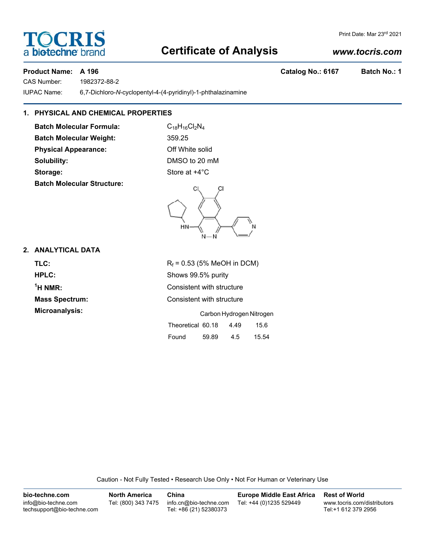### **Certificate of Analysis**

CAS Number: 1982372-88-2 IUPAC Name: 6,7-Dichloro-*N*-cyclopentyl-4-(4-pyridinyl)-1-phthalazinamine

#### **1. PHYSICAL AND CHEMICAL PROPERTIES**

**Batch Molecular Formula:** C<sub>18</sub>H<sub>16</sub>Cl<sub>2</sub>N<sub>4</sub> **Batch Molecular Weight:** 359.25 **Physical Appearance:** Off White solid **Solubility:** DMSO to 20 mM **Storage:** Store at  $+4^{\circ}$ C **Batch Molecular Structure:**

# ſ

#### **2. ANALYTICAL DATA**

| TLC:                  | $R_f$ = 0.53 (5% MeOH in DCM)     |
|-----------------------|-----------------------------------|
| HPLC:                 | Shows 99.5% purity                |
| $\mathrm{^1H}$ NMR:   | Consistent with structure         |
| <b>Mass Spectrum:</b> | Consistent with structure         |
| Microanalysis:        | Carbon Hydrogen Nitrogen          |
|                       | Theoretical 60.18<br>15.6<br>4.49 |

Caution - Not Fully Tested • Research Use Only • Not For Human or Veterinary Use

| bio-techne.com                                    | <b>North America</b> | China                                            | <b>Europe Middle East Africa</b> | <b>Rest of World</b>                               |
|---------------------------------------------------|----------------------|--------------------------------------------------|----------------------------------|----------------------------------------------------|
| info@bio-techne.com<br>techsupport@bio-techne.com | Tel: (800) 343 7475  | info.cn@bio-techne.com<br>Tel: +86 (21) 52380373 | Tel: +44 (0)1235 529449          | www.tocris.com/distributors<br>Tel:+1 612 379 2956 |

#### *www.tocris.com*



|    | CI.   | ĊI |  |
|----|-------|----|--|
| нŅ | $N-N$ |    |  |

Found 59.89 4.5 15.54

Product Name: A 196 **Catalog No.: 6167** Batch No.: 1